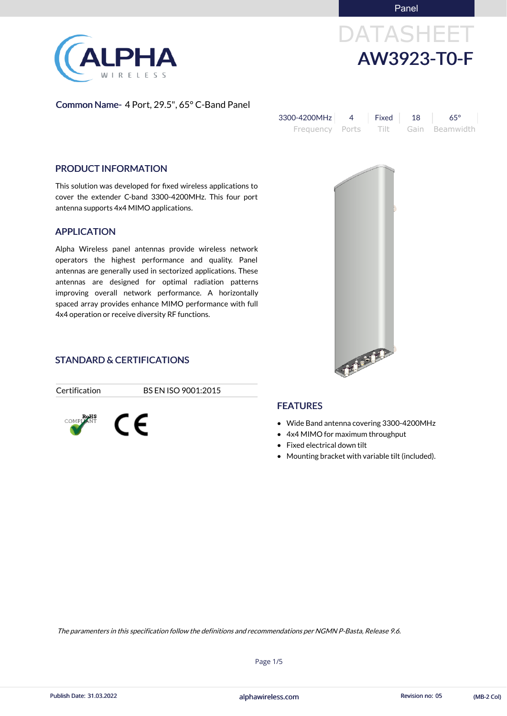

# DATASHEET AW3923-T0-F

### Common Name- 4 Port, 29.5", 65° C-Band Panel

| 3300-4200MHz | Fixed 18 | .65°                                |
|--------------|----------|-------------------------------------|
|              |          | Frequency Ports Tilt Gain Beamwidth |

### PRODUCT INFORMATION

This solution was developed for fixed wireless applications to cover the extender C-band 3300-4200MHz. This four port antenna supports 4x4 MIMO applications.

### APPLICATION

- Wide Band antenna covering 3300-4200MHz
- 4x4 MIMO for maximum throughput
- Fixed electrical down tilt

**FEATURES** 

Alpha Wireless panel antennas provide wireless network operators the highest performance and quality. Panel antennas are generally used in sectorized applications. These antennas are designed for optimal radiation patterns improving overall network performance. A horizontally spaced array provides enhance MIMO performance with full 4x4 operation or receive diversity RF functions.

# FARITE

### STANDARD & CERTIFICATIONS

Certification BS EN ISO 9001:2015



Mounting bracket with variable tilt (included).

Page 1/5

alphawireless.com Publish Date: 31.03.2022 Revision no: 05 (MB-2 Col)

The paramenters in this specification follow the definitions and recommendations per NGMN P-Basta, Release 9.6.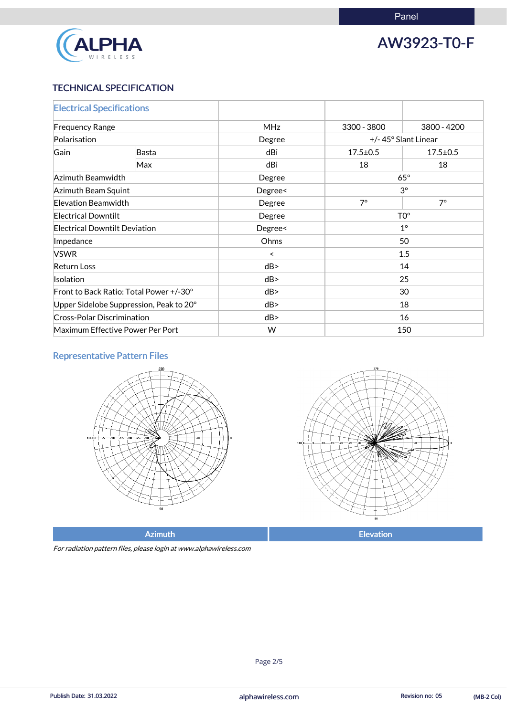

# AW3923-T0-F

### TECHNICAL SPECIFICATION

| <b>Electrical Specifications</b>        |       |            |                     |                |
|-----------------------------------------|-------|------------|---------------------|----------------|
| <b>Frequency Range</b>                  |       | <b>MHz</b> | 3300 - 3800         | 3800 - 4200    |
| Polarisation                            |       | Degree     | +/-45° Slant Linear |                |
| Gain                                    | Basta | dBi        | $17.5 \pm 0.5$      | $17.5 \pm 0.5$ |
|                                         | Max   | dBi        | 18                  | 18             |
| Azimuth Beamwidth                       |       | Degree     | $65^\circ$          |                |
| Azimuth Beam Squint                     |       | Degree<    | $3^\circ$           |                |
| <b>Elevation Beamwidth</b>              |       | Degree     | $7^\circ$           | $7^\circ$      |
| <b>Electrical Downtilt</b>              |       | Degree     | TO <sup>o</sup>     |                |
| <b>Electrical Downtilt Deviation</b>    |       | Degree<    | $1^{\circ}$         |                |
| Impedance                               |       | Ohms       | 50                  |                |
| <b>VSWR</b>                             |       | ≺          | 1.5                 |                |
| <b>Return Loss</b>                      |       | dB         | 14                  |                |
| <b>Isolation</b>                        |       | dB         | 25                  |                |
| Front to Back Ratio: Total Power +/-30° |       | dB         | 30                  |                |
| Upper Sidelobe Suppression, Peak to 20° |       | dB         | 18                  |                |
| <b>Cross-Polar Discrimination</b>       |       | dB         | 16                  |                |
| Maximum Effective Power Per Port        |       | W          | 150                 |                |

# Representative Pattern Files





Azimuth **Elevation** 

For radiation pattern files, please login at www.alphawireless.com

### alphawireless.com

Publish Date: 31.03.2022 **Revision no: 05** (MB-2 Col)

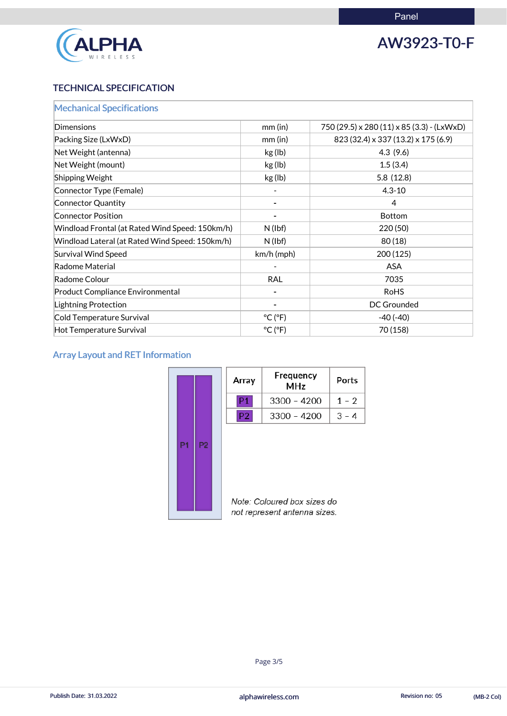

# AW3923-T0-F

## TECHNICAL SPECIFICATION

| <b>Mechanical Specifications</b>                |                              |                                            |
|-------------------------------------------------|------------------------------|--------------------------------------------|
| Dimensions                                      | $mm$ (in)                    | 750 (29.5) x 280 (11) x 85 (3.3) - (LxWxD) |
| Packing Size (LxWxD)                            | $mm$ (in)                    | 823 (32.4) x 337 (13.2) x 175 (6.9)        |
| Net Weight (antenna)                            | kg (lb)                      | 4.3(9.6)                                   |
| Net Weight (mount)                              | kg (lb)                      | 1.5(3.4)                                   |
| Shipping Weight                                 | kg (lb)                      | 5.8(12.8)                                  |
| Connector Type (Female)                         |                              | $4.3 - 10$                                 |
| Connector Quantity                              |                              | $\overline{4}$                             |
| <b>Connector Position</b>                       |                              | <b>Bottom</b>                              |
| Windload Frontal (at Rated Wind Speed: 150km/h) | $N$ (lbf)                    | 220 (50)                                   |
| Windload Lateral (at Rated Wind Speed: 150km/h) | $N$ (lbf)                    | 80(18)                                     |
| <b>Survival Wind Speed</b>                      | km/h (mph)                   | 200(125)                                   |
| Radome Material                                 |                              | <b>ASA</b>                                 |
| Radome Colour                                   | <b>RAL</b>                   | 7035                                       |
| <b>Product Compliance Environmental</b>         |                              | <b>RoHS</b>                                |
| <b>Lightning Protection</b>                     |                              | <b>DC Grounded</b>                         |
| Cold Temperature Survival                       | $^{\circ}$ C ( $^{\circ}$ F) | $-40(-40)$                                 |
| <b>Hot Temperature Survival</b>                 | $^{\circ}$ C ( $^{\circ}$ F) | 70 (158)                                   |

# Array Layout and RET Information

|                                  | Array | Frequency<br><b>MHz</b>                                     | Ports   |
|----------------------------------|-------|-------------------------------------------------------------|---------|
|                                  | P1    | $3300 - 4200$                                               | $1 - 2$ |
|                                  | P2    | $3300 - 4200$                                               | $3 - 4$ |
| P <sub>1</sub><br>P <sub>2</sub> |       | Note: Coloured box sizes do<br>not represent antenna sizes. |         |

### alphawireless.com

Publish Date: 31.03.2022 **Alphawireless.com** alphawireless.com Revision no: 05 (MB-2 Col)

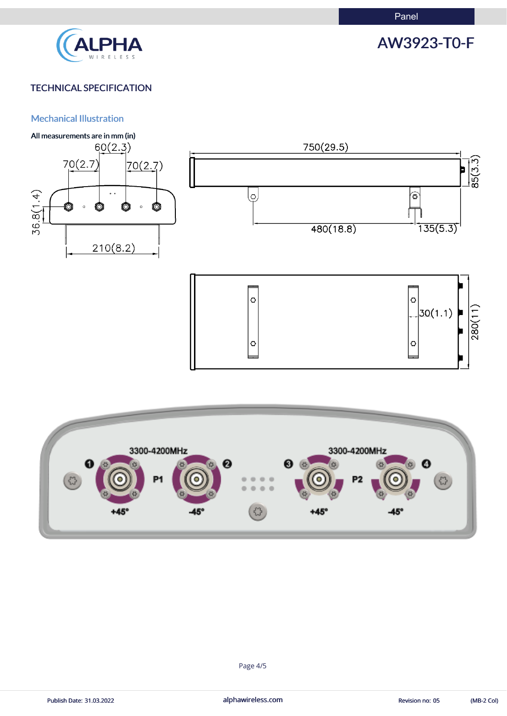

# AW3923-T0-F

# TECHNICAL SPECIFICATION

### Mechanical Illustration







Publish Date: 31.03.2022 **alphawireless.com** and alphawireless.com Revision no: 05 (MB-2 Col)